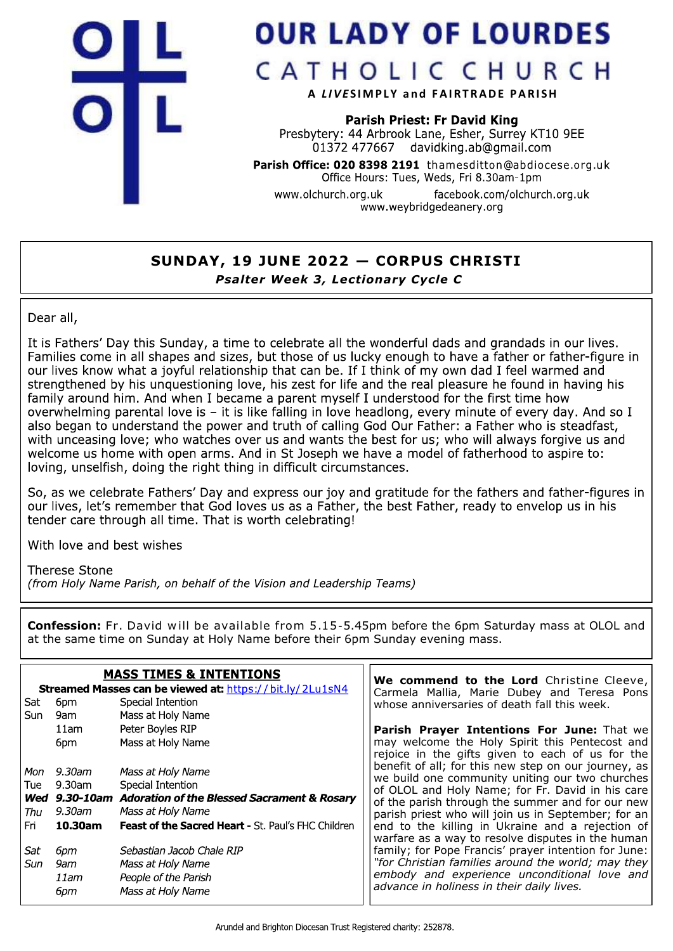

## **OUR LADY OF LOURDES**

CATHOLIC CHURCH

A LIVESIMPLY and FAIRTRADE PARISH

**Parish Priest: Fr David King** Presbytery: 44 Arbrook Lane, Esher, Surrey KT10 9EE  $01372$  477667 davidking.ab@gmail.com

Parish Office: 020 8398 2191 thamesditton@abdiocese.org.uk Office Hours: Tues, Weds, Fri 8.30am-1pm

facebook.com/olchurch.org.uk www.olchurch.org.uk www.weybridgedeanery.org

## SUNDAY, 19 JUNE 2022 - CORPUS CHRISTI Psalter Week 3, Lectionary Cycle C

Dear all,

It is Fathers' Day this Sunday, a time to celebrate all the wonderful dads and grandads in our lives. Families come in all shapes and sizes, but those of us lucky enough to have a father or father-figure in our lives know what a joyful relationship that can be. If I think of my own dad I feel warmed and strengthened by his unquestioning love, his zest for life and the real pleasure he found in having his family around him. And when I became a parent myself I understood for the first time how overwhelming parental love is - it is like falling in love headlong, every minute of every day. And so I also began to understand the power and truth of calling God Our Father: a Father who is steadfast, with unceasing love; who watches over us and wants the best for us; who will always forgive us and welcome us home with open arms. And in St Joseph we have a model of fatherhood to aspire to: loving, unselfish, doing the right thing in difficult circumstances.

So, as we celebrate Fathers' Day and express our joy and gratitude for the fathers and father-figures in our lives, let's remember that God loves us as a Father, the best Father, ready to envelop us in his tender care through all time. That is worth celebrating!

With love and best wishes

**Therese Stone** 

(from Holy Name Parish, on behalf of the Vision and Leadership Teams)

**Confession:** Fr. David will be available from 5.15-5.45pm before the 6pm Saturday mass at OLOL and at the same time on Sunday at Holy Name before their 6pm Sunday evening mass.

| <b>MASS TIMES &amp; INTENTIONS</b><br>Streamed Masses can be viewed at: https://bit.ly/2Lu1sN4 |         |                                                           | We commend to the Lord Christine Cleeve,<br>Carmela Mallia, Marie Dubey and Teresa Pons               |
|------------------------------------------------------------------------------------------------|---------|-----------------------------------------------------------|-------------------------------------------------------------------------------------------------------|
| Sat                                                                                            | 6pm     | Special Intention                                         | whose anniversaries of death fall this week.                                                          |
| Sun                                                                                            | 9am     | Mass at Holy Name                                         |                                                                                                       |
|                                                                                                | 11am    | Peter Boyles RIP                                          | <b>Parish Prayer Intentions For June: That we</b>                                                     |
|                                                                                                | 6pm     | Mass at Holy Name                                         | may welcome the Holy Spirit this Pentecost and<br>rejoice in the gifts given to each of us for the    |
| Mon                                                                                            | 9.30am  | Mass at Holy Name                                         | benefit of all; for this new step on our journey, as                                                  |
| Tue                                                                                            | 9.30am  | Special Intention                                         | we build one community uniting our two churches<br>of OLOL and Holy Name; for Fr. David in his care   |
|                                                                                                |         | Wed 9.30-10am Adoration of the Blessed Sacrament & Rosary | of the parish through the summer and for our new                                                      |
| Thu                                                                                            | 9.30am  | Mass at Holy Name                                         | parish priest who will join us in September; for an                                                   |
| Fri                                                                                            | 10.30am | Feast of the Sacred Heart - St. Paul's FHC Children       | end to the killing in Ukraine and a rejection of<br>warfare as a way to resolve disputes in the human |
| Sat                                                                                            | 6рт     | Sebastian Jacob Chale RIP                                 | family; for Pope Francis' prayer intention for June:                                                  |
| Sun                                                                                            | 9am     | Mass at Holy Name                                         | "for Christian families around the world; may they                                                    |
|                                                                                                | 11am    | People of the Parish                                      | embody and experience unconditional love and                                                          |
|                                                                                                | 6pm     | Mass at Holy Name                                         | advance in holiness in their daily lives.                                                             |